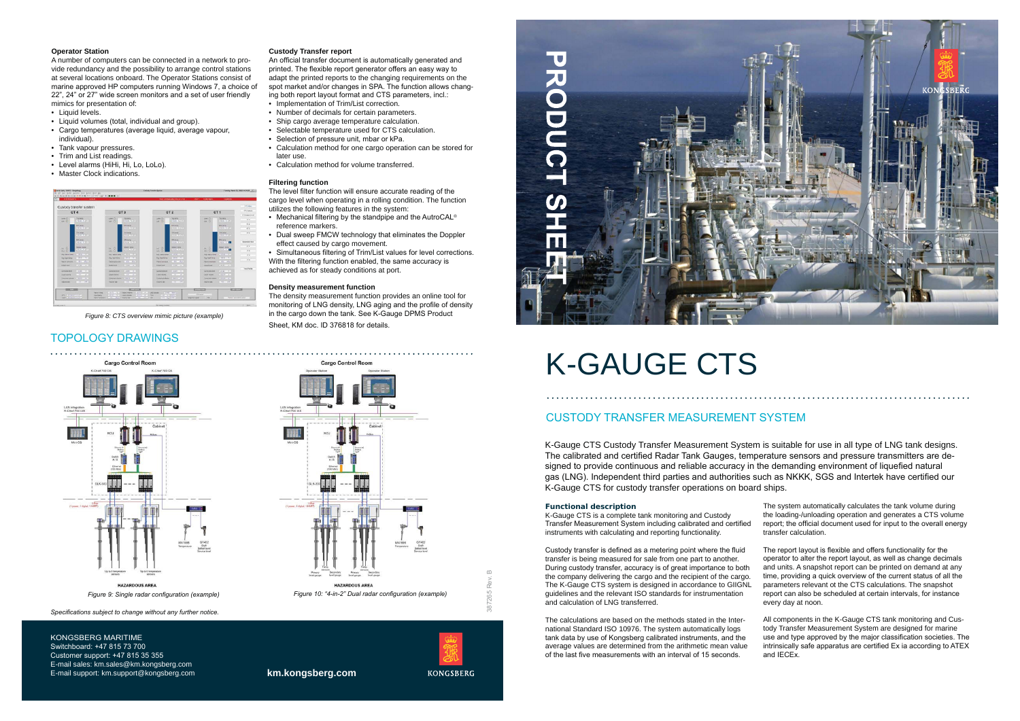



**km.kongsberg.com**

Switchboard: +47 815 73 700 Customer support:  $+4781535355$ E-mail sales: km.sales@km.kongsberg.com E-mail support: km.support@kongsberg.com

## **Operator Station**

- Liquid levels.
- Liquid volumes (total, individual and group).
- Cargo temperatures (average liquid, average vapour, individual).
- Tank vapour pressures.
- Trim and List readings.
- Level alarms (HiHi, Hi, Lo, LoLo).
- Master Clock indications.

A number of computers can be connected in a network to provide redundancy and the possibility to arrange control stations at several locations onboard. The Operator Stations consist of marine approved HP computers running Windows 7, a choice of 22", 24" or 27" wide screen monitors and a set of user friendly mimics for presentation of:



*Figure 8: CTS overview mimic picture (example)*

## **TOPOLOGY DRAWINGS**

The level filter function will ensure accurate reading of the cargo level when operating in a rolling condition. The function utilizes the following features in the system:



Specifications subject to change without any further notice.

## KONGSBERG MARITIME

#### **Custody Transfer report**

An official transfer document is automatically generated and printed. The flexible report generator offers an easy way to adapt the printed reports to the changing requirements on the spot market and/or changes in SPA. The function allows changing both report layout format and CTS parameters, incl.:

- Mechanical filtering by the standpipe and the AutroCAL<sup>®</sup> reference markers.
- Dual sweep FMCW technology that eliminates the Doppler effect caused by cargo movement.

Simultaneous filtering of Trim/List values for level corrections. With the filtering function enabled, the same accuracy is achieved as for steady conditions at port.

The density measurement function provides an online tool for monitoring of LNG density, LNG aging and the profile of density in the cargo down the tank. See K-Gauge DPMS Product Sheet. KM doc. ID 376818 for details.



*Pigure 9: Single radar configuration (example) <i>industing property propertion (Figure 10: "4-in-2" Dual radar configuration (example)* 

- Implementation of Trim/List correction.
- Number of decimals for certain parameters.
- Ship cargo average temperature calculation. • Selectable temperature used for CTS calculation.
- 
- Selection of pressure unit, mbar or kPa. • Calculation method for one cargo operation can be stored for
- later use.
- Calculation method for volume transferred.

#### **Filtering function**

Custody transfer is defined as a metering point where the fluid transfer is being measured for sale from one part to another. During custody transfer, accuracy is of great importance to both the company delivering the cargo and the recipient of the cargo. The K-Gauge CTS system is designed in accordance to GIIGNL guidelines and the relevant ISO standards for instrumentation and calculation of LNG transferred.

The calculations are based on the methods stated in the International Standard ISO 10976. The system automatically logs tank data by use of Kongsberg calibrated instruments, and the average values are determined from the arithmetic mean value of the last five measurements with an interval of 15 seconds.

#### **Density measurement function**

The report layout is flexible and offers functionality for the operator to alter the report layout, as well as change decimals and units. A snapshot report can be printed on demand at any time, providing a quick overview of the current status of all the parameters relevant ot the CTS calculations. The snapshot report can also be scheduled at certain intervals, for instance every day at noon.

All components in the K-Gauge CTS tank monitoring and Custody Transfer Measurement System are designed for marine use and type approved by the major classification societies. The intrinsically safe apparatus are certified Ex ia according to ATEX and IECEx.

## 

# K-GAUGE CTS

## CUSTODY TRANSFER MEASUREMENT SYSTEM

K-Gauge CTS Custody Transfer Measurement System is suitable for use in all type of LNG tank designs. The calibrated and certified Radar Tank Gauges, temperature sensors and pressure transmitters are designed to provide continuous and reliable accuracy in the demanding environment of liquefied natural gas (LNG). Independent third parties and authorities such as NKKK, SGS and Intertek have certified our K-Gauge CTS for custody transfer operations on board ships.

#### **Functional description**

K-Gauge CTS is a complete tank monitoring and Custody Transfer Measurement System including calibrated and certified instruments with calculating and reporting functionality.

The system automatically calculates the tank volume during the loading-/unloading operation and generates a CTS volume report; the official document used for input to the overall energy transfer calculation.